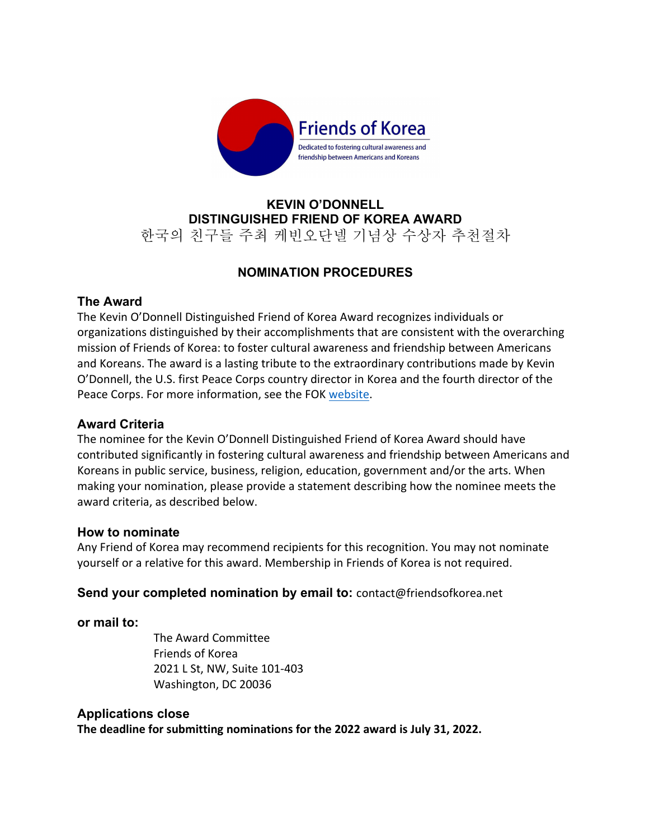

# **KEVIN O'DONNELL DISTINGUISHED FRIEND OF KOREA AWARD** 한국의 친구들 주최 케빈오단넬 기념상 수상자 추천절차

# **NOMINATION PROCEDURES**

## **The Award**

The Kevin O'Donnell Distinguished Friend of Korea Award recognizes individuals or organizations distinguished by their accomplishments that are consistent with the overarching mission of Friends of Korea: to foster cultural awareness and friendship between Americans and Koreans. The award is a lasting tribute to the extraordinary contributions made by Kevin O'Donnell, the U.S. first Peace Corps country director in Korea and the fourth director of the Peace Corps. For more information, see the FOK website.

## **Award Criteria**

The nominee for the Kevin O'Donnell Distinguished Friend of Korea Award should have contributed significantly in fostering cultural awareness and friendship between Americans and Koreans in public service, business, religion, education, government and/or the arts. When making your nomination, please provide a statement describing how the nominee meets the award criteria, as described below.

### **How to nominate**

Any Friend of Korea may recommend recipients for this recognition. You may not nominate yourself or a relative for this award. Membership in Friends of Korea is not required.

### **Send your completed nomination by email to:** contact@friendsofkorea.net

### **or mail to:**

The Award Committee Friends of Korea 2021 L St, NW, Suite 101-403 Washington, DC 20036

### **Applications close**

**The deadline for submitting nominations for the 2022 award is July 31, 2022.**